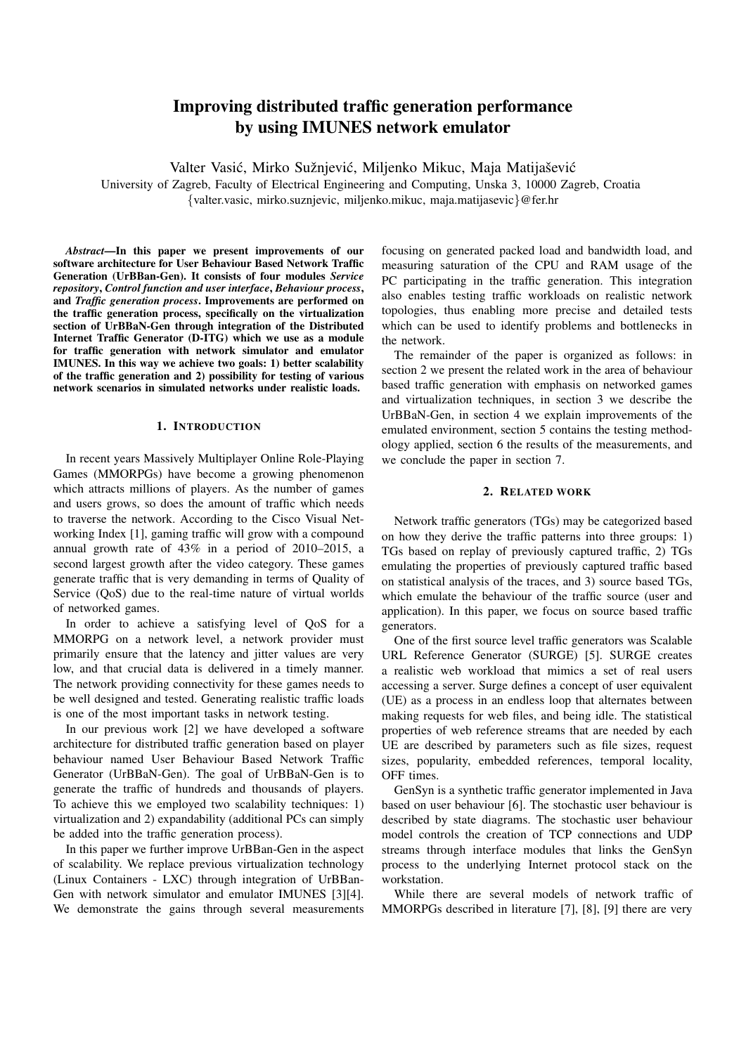# Improving distributed traffic generation performance by using IMUNES network emulator

Valter Vasić, Mirko Sužnjević, Miljenko Mikuc, Maja Matijašević

University of Zagreb, Faculty of Electrical Engineering and Computing, Unska 3, 10000 Zagreb, Croatia {valter.vasic, mirko.suznjevic, miljenko.mikuc, maja.matijasevic}@fer.hr

*Abstract*—In this paper we present improvements of our software architecture for User Behaviour Based Network Traffic Generation (UrBBan-Gen). It consists of four modules *Service repository*, *Control function and user interface*, *Behaviour process*, and *Traffic generation process*. Improvements are performed on the traffic generation process, specifically on the virtualization section of UrBBaN-Gen through integration of the Distributed Internet Traffic Generator (D-ITG) which we use as a module for traffic generation with network simulator and emulator IMUNES. In this way we achieve two goals: 1) better scalability of the traffic generation and 2) possibility for testing of various network scenarios in simulated networks under realistic loads.

#### 1. INTRODUCTION

In recent years Massively Multiplayer Online Role-Playing Games (MMORPGs) have become a growing phenomenon which attracts millions of players. As the number of games and users grows, so does the amount of traffic which needs to traverse the network. According to the Cisco Visual Networking Index [1], gaming traffic will grow with a compound annual growth rate of 43% in a period of 2010–2015, a second largest growth after the video category. These games generate traffic that is very demanding in terms of Quality of Service (QoS) due to the real-time nature of virtual worlds of networked games.

In order to achieve a satisfying level of QoS for a MMORPG on a network level, a network provider must primarily ensure that the latency and jitter values are very low, and that crucial data is delivered in a timely manner. The network providing connectivity for these games needs to be well designed and tested. Generating realistic traffic loads is one of the most important tasks in network testing.

In our previous work [2] we have developed a software architecture for distributed traffic generation based on player behaviour named User Behaviour Based Network Traffic Generator (UrBBaN-Gen). The goal of UrBBaN-Gen is to generate the traffic of hundreds and thousands of players. To achieve this we employed two scalability techniques: 1) virtualization and 2) expandability (additional PCs can simply be added into the traffic generation process).

In this paper we further improve UrBBan-Gen in the aspect of scalability. We replace previous virtualization technology (Linux Containers - LXC) through integration of UrBBan-Gen with network simulator and emulator IMUNES [3][4]. We demonstrate the gains through several measurements focusing on generated packed load and bandwidth load, and measuring saturation of the CPU and RAM usage of the PC participating in the traffic generation. This integration also enables testing traffic workloads on realistic network topologies, thus enabling more precise and detailed tests which can be used to identify problems and bottlenecks in the network.

The remainder of the paper is organized as follows: in section 2 we present the related work in the area of behaviour based traffic generation with emphasis on networked games and virtualization techniques, in section 3 we describe the UrBBaN-Gen, in section 4 we explain improvements of the emulated environment, section 5 contains the testing methodology applied, section 6 the results of the measurements, and we conclude the paper in section 7.

#### 2. RELATED WORK

Network traffic generators (TGs) may be categorized based on how they derive the traffic patterns into three groups: 1) TGs based on replay of previously captured traffic, 2) TGs emulating the properties of previously captured traffic based on statistical analysis of the traces, and 3) source based TGs, which emulate the behaviour of the traffic source (user and application). In this paper, we focus on source based traffic generators.

One of the first source level traffic generators was Scalable URL Reference Generator (SURGE) [5]. SURGE creates a realistic web workload that mimics a set of real users accessing a server. Surge defines a concept of user equivalent (UE) as a process in an endless loop that alternates between making requests for web files, and being idle. The statistical properties of web reference streams that are needed by each UE are described by parameters such as file sizes, request sizes, popularity, embedded references, temporal locality, OFF times.

GenSyn is a synthetic traffic generator implemented in Java based on user behaviour [6]. The stochastic user behaviour is described by state diagrams. The stochastic user behaviour model controls the creation of TCP connections and UDP streams through interface modules that links the GenSyn process to the underlying Internet protocol stack on the workstation.

While there are several models of network traffic of MMORPGs described in literature [7], [8], [9] there are very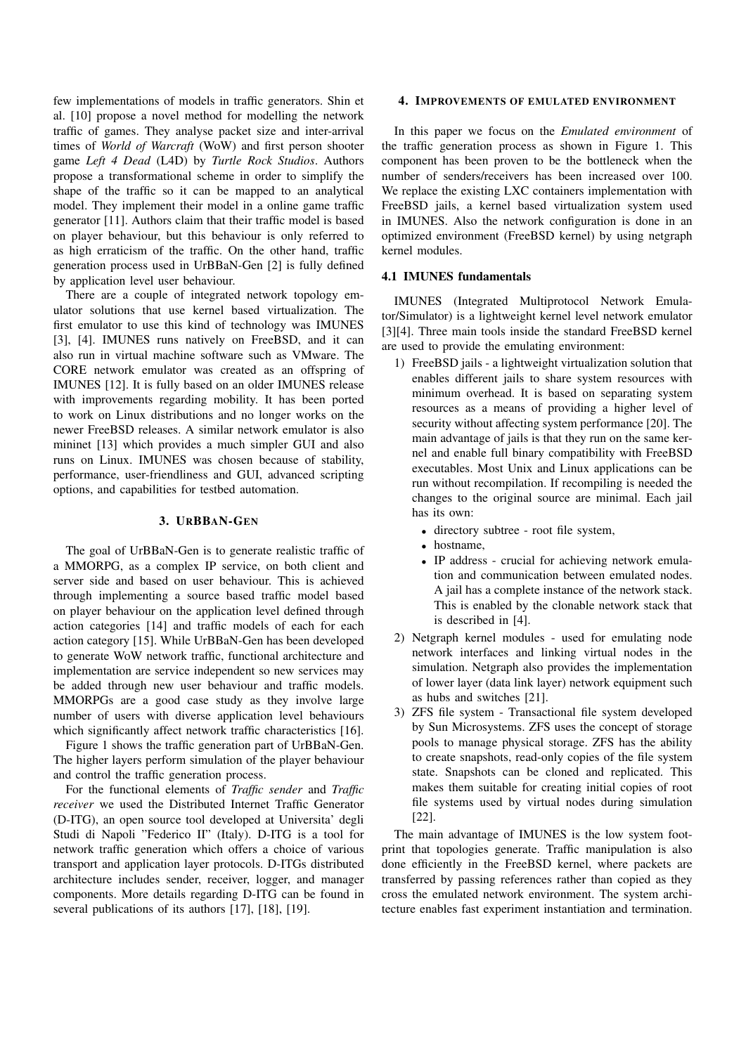few implementations of models in traffic generators. Shin et al. [10] propose a novel method for modelling the network traffic of games. They analyse packet size and inter-arrival times of *World of Warcraft* (WoW) and first person shooter game *Left 4 Dead* (L4D) by *Turtle Rock Studios*. Authors propose a transformational scheme in order to simplify the shape of the traffic so it can be mapped to an analytical model. They implement their model in a online game traffic generator [11]. Authors claim that their traffic model is based on player behaviour, but this behaviour is only referred to as high erraticism of the traffic. On the other hand, traffic generation process used in UrBBaN-Gen [2] is fully defined by application level user behaviour.

There are a couple of integrated network topology emulator solutions that use kernel based virtualization. The first emulator to use this kind of technology was IMUNES [3], [4]. IMUNES runs natively on FreeBSD, and it can also run in virtual machine software such as VMware. The CORE network emulator was created as an offspring of IMUNES [12]. It is fully based on an older IMUNES release with improvements regarding mobility. It has been ported to work on Linux distributions and no longer works on the newer FreeBSD releases. A similar network emulator is also mininet [13] which provides a much simpler GUI and also runs on Linux. IMUNES was chosen because of stability, performance, user-friendliness and GUI, advanced scripting options, and capabilities for testbed automation.

#### 3. URBBAN-GEN

The goal of UrBBaN-Gen is to generate realistic traffic of a MMORPG, as a complex IP service, on both client and server side and based on user behaviour. This is achieved through implementing a source based traffic model based on player behaviour on the application level defined through action categories [14] and traffic models of each for each action category [15]. While UrBBaN-Gen has been developed to generate WoW network traffic, functional architecture and implementation are service independent so new services may be added through new user behaviour and traffic models. MMORPGs are a good case study as they involve large number of users with diverse application level behaviours which significantly affect network traffic characteristics [16].

Figure 1 shows the traffic generation part of UrBBaN-Gen. The higher layers perform simulation of the player behaviour and control the traffic generation process.

For the functional elements of *Traffic sender* and *Traffic receiver* we used the Distributed Internet Traffic Generator (D-ITG), an open source tool developed at Universita' degli Studi di Napoli "Federico II" (Italy). D-ITG is a tool for network traffic generation which offers a choice of various transport and application layer protocols. D-ITGs distributed architecture includes sender, receiver, logger, and manager components. More details regarding D-ITG can be found in several publications of its authors [17], [18], [19].

#### 4. IMPROVEMENTS OF EMULATED ENVIRONMENT

In this paper we focus on the *Emulated environment* of the traffic generation process as shown in Figure 1. This component has been proven to be the bottleneck when the number of senders/receivers has been increased over 100. We replace the existing LXC containers implementation with FreeBSD jails, a kernel based virtualization system used in IMUNES. Also the network configuration is done in an optimized environment (FreeBSD kernel) by using netgraph kernel modules.

#### 4.1 IMUNES fundamentals

IMUNES (Integrated Multiprotocol Network Emulator/Simulator) is a lightweight kernel level network emulator [3][4]. Three main tools inside the standard FreeBSD kernel are used to provide the emulating environment:

- 1) FreeBSD jails a lightweight virtualization solution that enables different jails to share system resources with minimum overhead. It is based on separating system resources as a means of providing a higher level of security without affecting system performance [20]. The main advantage of jails is that they run on the same kernel and enable full binary compatibility with FreeBSD executables. Most Unix and Linux applications can be run without recompilation. If recompiling is needed the changes to the original source are minimal. Each jail has its own:
	- directory subtree root file system,
	- hostname.
	- IP address crucial for achieving network emulation and communication between emulated nodes. A jail has a complete instance of the network stack. This is enabled by the clonable network stack that is described in [4].
- 2) Netgraph kernel modules used for emulating node network interfaces and linking virtual nodes in the simulation. Netgraph also provides the implementation of lower layer (data link layer) network equipment such as hubs and switches [21].
- 3) ZFS file system Transactional file system developed by Sun Microsystems. ZFS uses the concept of storage pools to manage physical storage. ZFS has the ability to create snapshots, read-only copies of the file system state. Snapshots can be cloned and replicated. This makes them suitable for creating initial copies of root file systems used by virtual nodes during simulation [22].

The main advantage of IMUNES is the low system footprint that topologies generate. Traffic manipulation is also done efficiently in the FreeBSD kernel, where packets are transferred by passing references rather than copied as they cross the emulated network environment. The system architecture enables fast experiment instantiation and termination.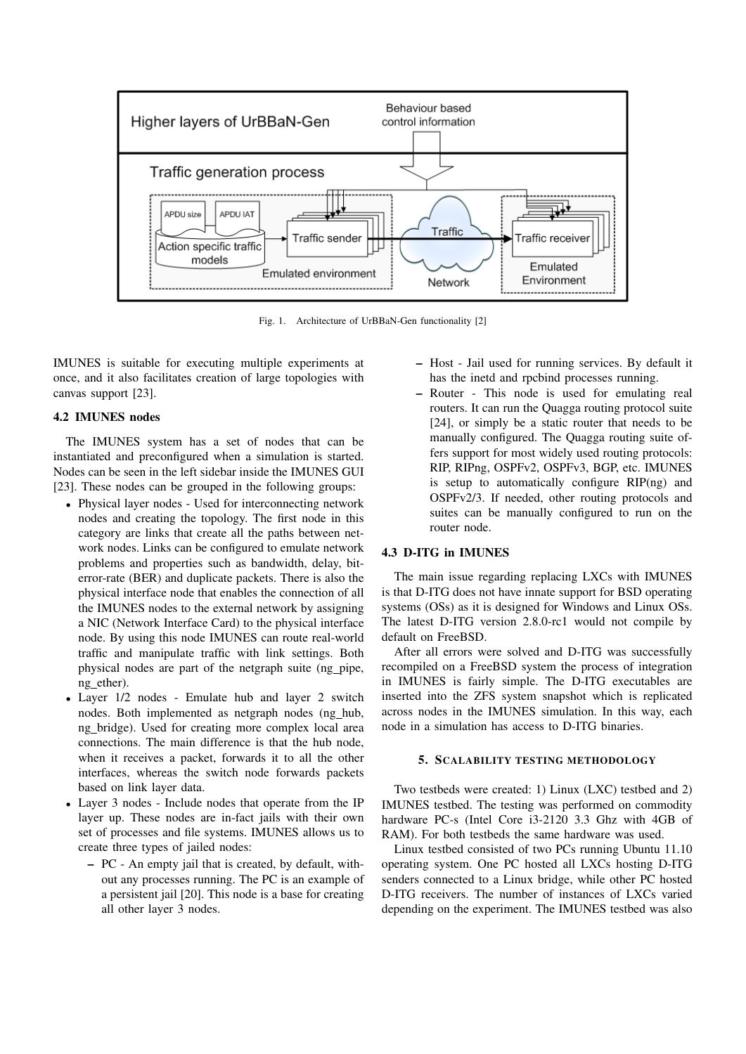

Fig. 1. Architecture of UrBBaN-Gen functionality [2]

IMUNES is suitable for executing multiple experiments at once, and it also facilitates creation of large topologies with canvas support [23].

## 4.2 IMUNES nodes

The IMUNES system has a set of nodes that can be instantiated and preconfigured when a simulation is started. Nodes can be seen in the left sidebar inside the IMUNES GUI [23]. These nodes can be grouped in the following groups:

- Physical layer nodes Used for interconnecting network nodes and creating the topology. The first node in this category are links that create all the paths between network nodes. Links can be configured to emulate network problems and properties such as bandwidth, delay, biterror-rate (BER) and duplicate packets. There is also the physical interface node that enables the connection of all the IMUNES nodes to the external network by assigning a NIC (Network Interface Card) to the physical interface node. By using this node IMUNES can route real-world traffic and manipulate traffic with link settings. Both physical nodes are part of the netgraph suite (ng pipe, ng ether).
- Layer 1/2 nodes Emulate hub and layer 2 switch nodes. Both implemented as netgraph nodes (ng hub, ng bridge). Used for creating more complex local area connections. The main difference is that the hub node, when it receives a packet, forwards it to all the other interfaces, whereas the switch node forwards packets based on link layer data.
- Layer 3 nodes Include nodes that operate from the IP layer up. These nodes are in-fact jails with their own set of processes and file systems. IMUNES allows us to create three types of jailed nodes:
	- PC An empty jail that is created, by default, without any processes running. The PC is an example of a persistent jail [20]. This node is a base for creating all other layer 3 nodes.
- Host Jail used for running services. By default it has the inetd and rpcbind processes running.
- Router This node is used for emulating real routers. It can run the Quagga routing protocol suite [24], or simply be a static router that needs to be manually configured. The Quagga routing suite offers support for most widely used routing protocols: RIP, RIPng, OSPFv2, OSPFv3, BGP, etc. IMUNES is setup to automatically configure RIP(ng) and OSPFv2/3. If needed, other routing protocols and suites can be manually configured to run on the router node.

#### 4.3 D-ITG in IMUNES

The main issue regarding replacing LXCs with IMUNES is that D-ITG does not have innate support for BSD operating systems (OSs) as it is designed for Windows and Linux OSs. The latest D-ITG version 2.8.0-rc1 would not compile by default on FreeBSD.

After all errors were solved and D-ITG was successfully recompiled on a FreeBSD system the process of integration in IMUNES is fairly simple. The D-ITG executables are inserted into the ZFS system snapshot which is replicated across nodes in the IMUNES simulation. In this way, each node in a simulation has access to D-ITG binaries.

# 5. SCALABILITY TESTING METHODOLOGY

Two testbeds were created: 1) Linux (LXC) testbed and 2) IMUNES testbed. The testing was performed on commodity hardware PC-s (Intel Core i3-2120 3.3 Ghz with 4GB of RAM). For both testbeds the same hardware was used.

Linux testbed consisted of two PCs running Ubuntu 11.10 operating system. One PC hosted all LXCs hosting D-ITG senders connected to a Linux bridge, while other PC hosted D-ITG receivers. The number of instances of LXCs varied depending on the experiment. The IMUNES testbed was also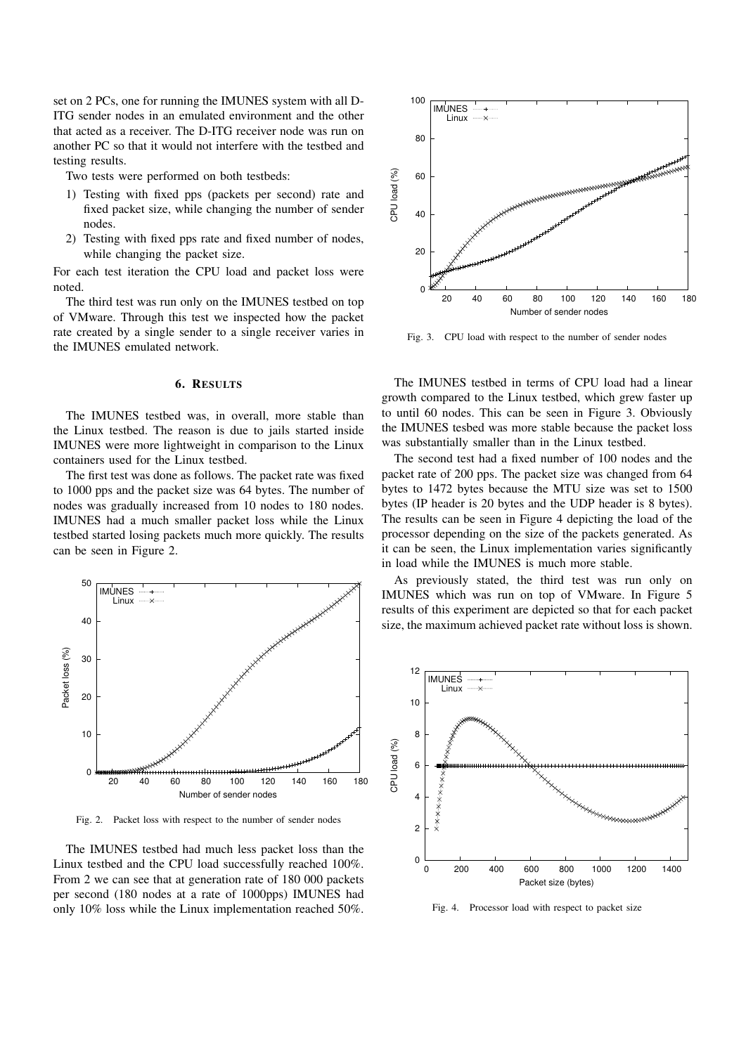set on 2 PCs, one for running the IMUNES system with all D-ITG sender nodes in an emulated environment and the other that acted as a receiver. The D-ITG receiver node was run on another PC so that it would not interfere with the testbed and testing results.

Two tests were performed on both testbeds:

- 1) Testing with fixed pps (packets per second) rate and fixed packet size, while changing the number of sender nodes.
- 2) Testing with fixed pps rate and fixed number of nodes, while changing the packet size.

For each test iteration the CPU load and packet loss were noted.

The third test was run only on the IMUNES testbed on top of VMware. Through this test we inspected how the packet rate created by a single sender to a single receiver varies in the IMUNES emulated network.

#### 6. RESULTS

The IMUNES testbed was, in overall, more stable than the Linux testbed. The reason is due to jails started inside IMUNES were more lightweight in comparison to the Linux containers used for the Linux testbed.

The first test was done as follows. The packet rate was fixed to 1000 pps and the packet size was 64 bytes. The number of nodes was gradually increased from 10 nodes to 180 nodes. IMUNES had a much smaller packet loss while the Linux testbed started losing packets much more quickly. The results can be seen in Figure 2.



Fig. 2. Packet loss with respect to the number of sender nodes

The IMUNES testbed had much less packet loss than the Linux testbed and the CPU load successfully reached 100%. From 2 we can see that at generation rate of 180 000 packets per second (180 nodes at a rate of 1000pps) IMUNES had only 10% loss while the Linux implementation reached 50%.



Fig. 3. CPU load with respect to the number of sender nodes

The IMUNES testbed in terms of CPU load had a linear growth compared to the Linux testbed, which grew faster up to until 60 nodes. This can be seen in Figure 3. Obviously the IMUNES tesbed was more stable because the packet loss was substantially smaller than in the Linux testbed.

The second test had a fixed number of 100 nodes and the packet rate of 200 pps. The packet size was changed from 64 bytes to 1472 bytes because the MTU size was set to 1500 bytes (IP header is 20 bytes and the UDP header is 8 bytes). The results can be seen in Figure 4 depicting the load of the processor depending on the size of the packets generated. As it can be seen, the Linux implementation varies significantly in load while the IMUNES is much more stable.

As previously stated, the third test was run only on IMUNES which was run on top of VMware. In Figure 5 results of this experiment are depicted so that for each packet size, the maximum achieved packet rate without loss is shown.



Fig. 4. Processor load with respect to packet size